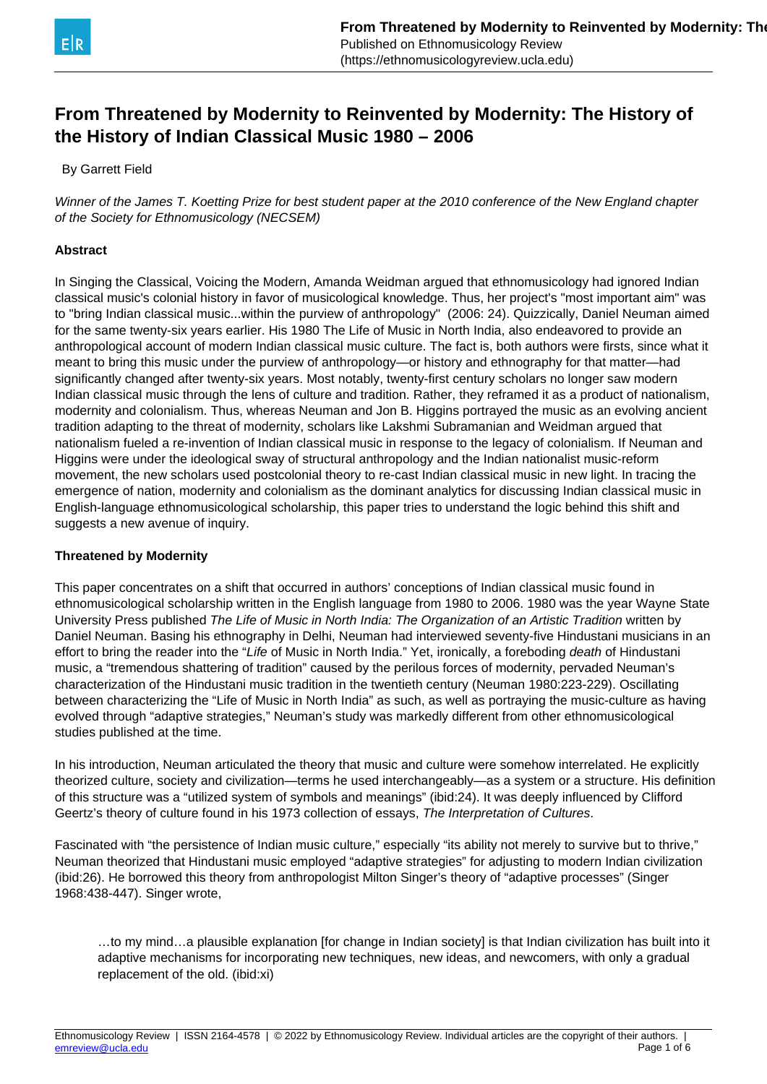

# **From Threatened by Modernity to Reinvented by Modernity: The History of the History of Indian Classical Music 1980 – 2006**

By Garrett Field

Winner of the James T. Koetting Prize for best student paper at the 2010 conference of the New England chapter of the Society for Ethnomusicology (NECSEM)

### **Abstract**

In Singing the Classical, Voicing the Modern, Amanda Weidman argued that ethnomusicology had ignored Indian classical music's colonial history in favor of musicological knowledge. Thus, her project's "most important aim" was to "bring Indian classical music...within the purview of anthropology" (2006: 24). Quizzically, Daniel Neuman aimed for the same twenty-six years earlier. His 1980 The Life of Music in North India, also endeavored to provide an anthropological account of modern Indian classical music culture. The fact is, both authors were firsts, since what it meant to bring this music under the purview of anthropology—or history and ethnography for that matter—had significantly changed after twenty-six years. Most notably, twenty-first century scholars no longer saw modern Indian classical music through the lens of culture and tradition. Rather, they reframed it as a product of nationalism, modernity and colonialism. Thus, whereas Neuman and Jon B. Higgins portrayed the music as an evolving ancient tradition adapting to the threat of modernity, scholars like Lakshmi Subramanian and Weidman argued that nationalism fueled a re-invention of Indian classical music in response to the legacy of colonialism. If Neuman and Higgins were under the ideological sway of structural anthropology and the Indian nationalist music-reform movement, the new scholars used postcolonial theory to re-cast Indian classical music in new light. In tracing the emergence of nation, modernity and colonialism as the dominant analytics for discussing Indian classical music in English-language ethnomusicological scholarship, this paper tries to understand the logic behind this shift and suggests a new avenue of inquiry.

#### **Threatened by Modernity**

This paper concentrates on a shift that occurred in authors' conceptions of Indian classical music found in ethnomusicological scholarship written in the English language from 1980 to 2006. 1980 was the year Wayne State University Press published The Life of Music in North India: The Organization of an Artistic Tradition written by Daniel Neuman. Basing his ethnography in Delhi, Neuman had interviewed seventy-five Hindustani musicians in an effort to bring the reader into the "Life of Music in North India." Yet, ironically, a foreboding *death* of Hindustani music, a "tremendous shattering of tradition" caused by the perilous forces of modernity, pervaded Neuman's characterization of the Hindustani music tradition in the twentieth century (Neuman 1980:223-229). Oscillating between characterizing the "Life of Music in North India" as such, as well as portraying the music-culture as having evolved through "adaptive strategies," Neuman's study was markedly different from other ethnomusicological studies published at the time.

In his introduction, Neuman articulated the theory that music and culture were somehow interrelated. He explicitly theorized culture, society and civilization—terms he used interchangeably—as a system or a structure. His definition of this structure was a "utilized system of symbols and meanings" (ibid:24). It was deeply influenced by Clifford Geertz's theory of culture found in his 1973 collection of essays, The Interpretation of Cultures.

Fascinated with "the persistence of Indian music culture," especially "its ability not merely to survive but to thrive," Neuman theorized that Hindustani music employed "adaptive strategies" for adjusting to modern Indian civilization (ibid:26). He borrowed this theory from anthropologist Milton Singer's theory of "adaptive processes" (Singer 1968:438-447). Singer wrote,

…to my mind…a plausible explanation [for change in Indian society] is that Indian civilization has built into it adaptive mechanisms for incorporating new techniques, new ideas, and newcomers, with only a gradual replacement of the old. (ibid:xi)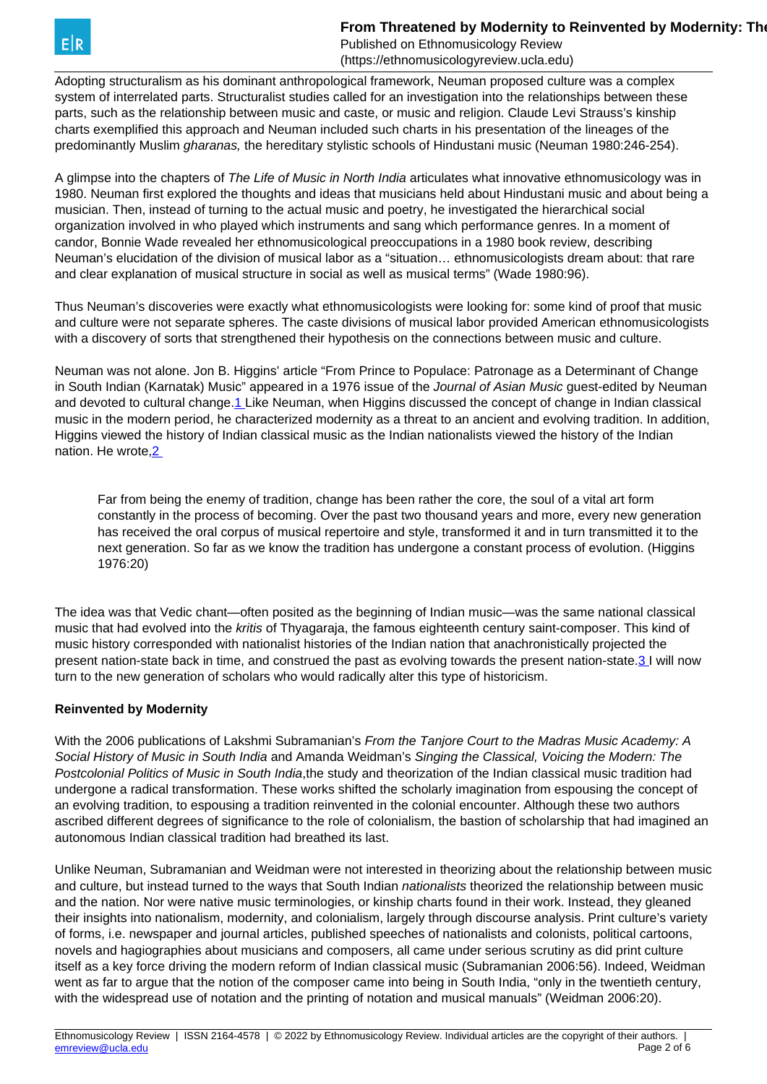**From Threatened by Modernity to Reinvented by Modernity: The History of The History of The History of The History of The History of The History of The History of The History of The History The History of The History of Th** 

Published on Ethnomusicology Review (https://ethnomusicologyreview.ucla.edu)

<span id="page-1-0"></span>Adopting structuralism as his dominant anthropological framework, Neuman proposed culture was a complex system of interrelated parts. Structuralist studies called for an investigation into the relationships between these parts, such as the relationship between music and caste, or music and religion. Claude Levi Strauss's kinship charts exemplified this approach and Neuman included such charts in his presentation of the lineages of the predominantly Muslim *gharanas*, the hereditary stylistic schools of Hindustani music (Neuman 1980:246-254).

A glimpse into the chapters of The Life of Music in North India articulates what innovative ethnomusicology was in 1980. Neuman first explored the thoughts and ideas that musicians held about Hindustani music and about being a musician. Then, instead of turning to the actual music and poetry, he investigated the hierarchical social organization involved in who played which instruments and sang which performance genres. In a moment of candor, Bonnie Wade revealed her ethnomusicological preoccupations in a 1980 book review, describing Neuman's elucidation of the division of musical labor as a "situation… ethnomusicologists dream about: that rare and clear explanation of musical structure in social as well as musical terms" (Wade 1980:96).

Thus Neuman's discoveries were exactly what ethnomusicologists were looking for: some kind of proof that music and culture were not separate spheres. The caste divisions of musical labor provided American ethnomusicologists with a discovery of sorts that strengthened their hypothesis on the connections between music and culture.

Neuman was not alone. Jon B. Higgins' article "From Prince to Populace: Patronage as a Determinant of Change in South Indian (Karnatak) Music" appeared in a 1976 issue of the Journal of Asian Music quest-edited by Neuman and devoted to cultural change[.1](#page-1-0) Like Neuman, when Higgins discussed the concept of change in Indian classical music in the modern period, he characterized modernity as a threat to an ancient and evolving tradition. In addition, Higgins viewed the history of Indian classical music as the Indian nationalists viewed the history of the Indian nation. He wrote[,2](#page-1-0) 

Far from being the enemy of tradition, change has been rather the core, the soul of a vital art form constantly in the process of becoming. Over the past two thousand years and more, every new generation has received the oral corpus of musical repertoire and style, transformed it and in turn transmitted it to the next generation. So far as we know the tradition has undergone a constant process of evolution. (Higgins 1976:20)

The idea was that Vedic chant—often posited as the beginning of Indian music—was the same national classical music that had evolved into the kritis of Thyagaraja, the famous eighteenth century saint-composer. This kind of music history corresponded with nationalist histories of the Indian nation that anachronistically projected the present nation-state back in time, and construed the past as evolving towards the present nation-state.[3 I](#page-1-0) will now turn to the new generation of scholars who would radically alter this type of historicism.

# **Reinvented by Modernity**

With the 2006 publications of Lakshmi Subramanian's From the Tanjore Court to the Madras Music Academy: A Social History of Music in South India and Amanda Weidman's Singing the Classical, Voicing the Modern: The Postcolonial Politics of Music in South India,the study and theorization of the Indian classical music tradition had undergone a radical transformation. These works shifted the scholarly imagination from espousing the concept of an evolving tradition, to espousing a tradition reinvented in the colonial encounter. Although these two authors ascribed different degrees of significance to the role of colonialism, the bastion of scholarship that had imagined an autonomous Indian classical tradition had breathed its last.

Unlike Neuman, Subramanian and Weidman were not interested in theorizing about the relationship between music and culture, but instead turned to the ways that South Indian *nationalists* theorized the relationship between music and the nation. Nor were native music terminologies, or kinship charts found in their work. Instead, they gleaned their insights into nationalism, modernity, and colonialism, largely through discourse analysis. Print culture's variety of forms, i.e. newspaper and journal articles, published speeches of nationalists and colonists, political cartoons, novels and hagiographies about musicians and composers, all came under serious scrutiny as did print culture itself as a key force driving the modern reform of Indian classical music (Subramanian 2006:56). Indeed, Weidman went as far to argue that the notion of the composer came into being in South India, "only in the twentieth century, with the widespread use of notation and the printing of notation and musical manuals" (Weidman 2006:20).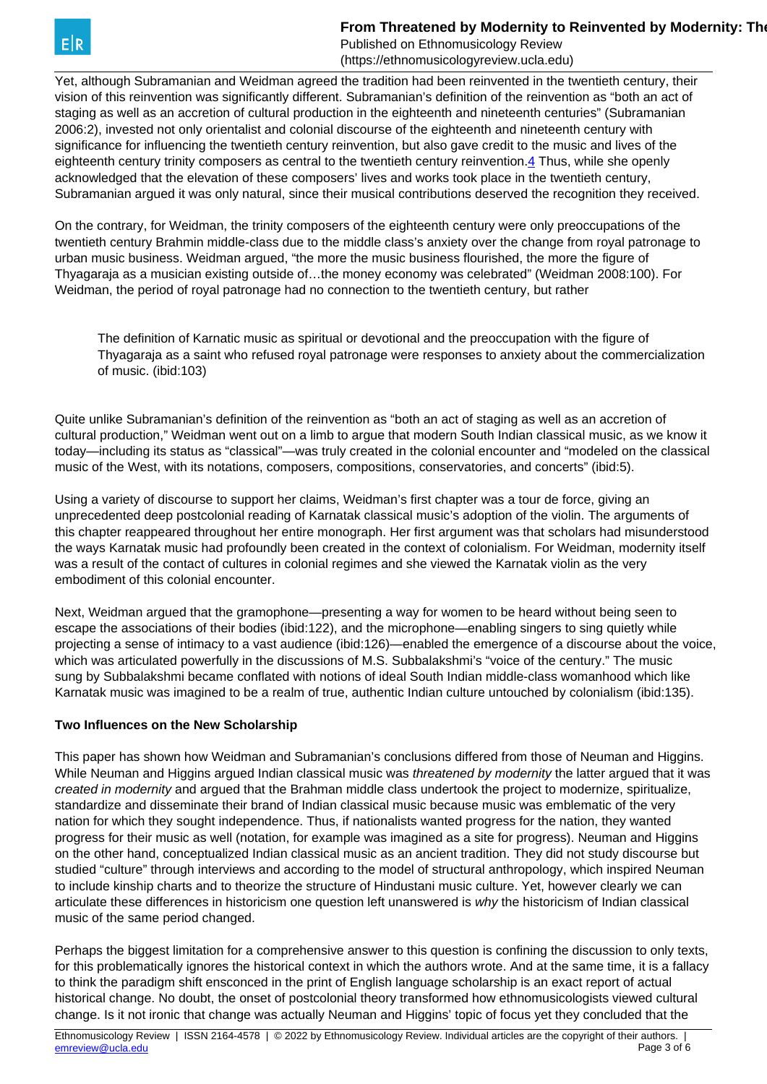Published on Ethnomusicology Review (https://ethnomusicologyreview.ucla.edu)

<span id="page-2-0"></span>Yet, although Subramanian and Weidman agreed the tradition had been reinvented in the twentieth century, their vision of this reinvention was significantly different. Subramanian's definition of the reinvention as "both an act of staging as well as an accretion of cultural production in the eighteenth and nineteenth centuries" (Subramanian 2006:2), invested not only orientalist and colonial discourse of the eighteenth and nineteenth century with significance for influencing the twentieth century reinvention, but also gave credit to the music and lives of the eighteenth century trinity composers as central to the twentieth century reinvention.[4](#page-2-0) Thus, while she openly acknowledged that the elevation of these composers' lives and works took place in the twentieth century, Subramanian argued it was only natural, since their musical contributions deserved the recognition they received.

On the contrary, for Weidman, the trinity composers of the eighteenth century were only preoccupations of the twentieth century Brahmin middle-class due to the middle class's anxiety over the change from royal patronage to urban music business. Weidman argued, "the more the music business flourished, the more the figure of Thyagaraja as a musician existing outside of…the money economy was celebrated" (Weidman 2008:100). For Weidman, the period of royal patronage had no connection to the twentieth century, but rather

The definition of Karnatic music as spiritual or devotional and the preoccupation with the figure of Thyagaraja as a saint who refused royal patronage were responses to anxiety about the commercialization of music. (ibid:103)

Quite unlike Subramanian's definition of the reinvention as "both an act of staging as well as an accretion of cultural production," Weidman went out on a limb to argue that modern South Indian classical music, as we know it today—including its status as "classical"—was truly created in the colonial encounter and "modeled on the classical music of the West, with its notations, composers, compositions, conservatories, and concerts" (ibid:5).

Using a variety of discourse to support her claims, Weidman's first chapter was a tour de force, giving an unprecedented deep postcolonial reading of Karnatak classical music's adoption of the violin. The arguments of this chapter reappeared throughout her entire monograph. Her first argument was that scholars had misunderstood the ways Karnatak music had profoundly been created in the context of colonialism. For Weidman, modernity itself was a result of the contact of cultures in colonial regimes and she viewed the Karnatak violin as the very embodiment of this colonial encounter.

Next, Weidman argued that the gramophone—presenting a way for women to be heard without being seen to escape the associations of their bodies (ibid:122), and the microphone—enabling singers to sing quietly while projecting a sense of intimacy to a vast audience (ibid:126)—enabled the emergence of a discourse about the voice, which was articulated powerfully in the discussions of M.S. Subbalakshmi's "voice of the century." The music sung by Subbalakshmi became conflated with notions of ideal South Indian middle-class womanhood which like Karnatak music was imagined to be a realm of true, authentic Indian culture untouched by colonialism (ibid:135).

# **Two Influences on the New Scholarship**

This paper has shown how Weidman and Subramanian's conclusions differed from those of Neuman and Higgins. While Neuman and Higgins argued Indian classical music was *threatened by modernity* the latter argued that it was created in modernity and argued that the Brahman middle class undertook the project to modernize, spiritualize, standardize and disseminate their brand of Indian classical music because music was emblematic of the very nation for which they sought independence. Thus, if nationalists wanted progress for the nation, they wanted progress for their music as well (notation, for example was imagined as a site for progress). Neuman and Higgins on the other hand, conceptualized Indian classical music as an ancient tradition. They did not study discourse but studied "culture" through interviews and according to the model of structural anthropology, which inspired Neuman to include kinship charts and to theorize the structure of Hindustani music culture. Yet, however clearly we can articulate these differences in historicism one question left unanswered is why the historicism of Indian classical music of the same period changed.

Perhaps the biggest limitation for a comprehensive answer to this question is confining the discussion to only texts, for this problematically ignores the historical context in which the authors wrote. And at the same time, it is a fallacy to think the paradigm shift ensconced in the print of English language scholarship is an exact report of actual historical change. No doubt, the onset of postcolonial theory transformed how ethnomusicologists viewed cultural change. Is it not ironic that change was actually Neuman and Higgins' topic of focus yet they concluded that the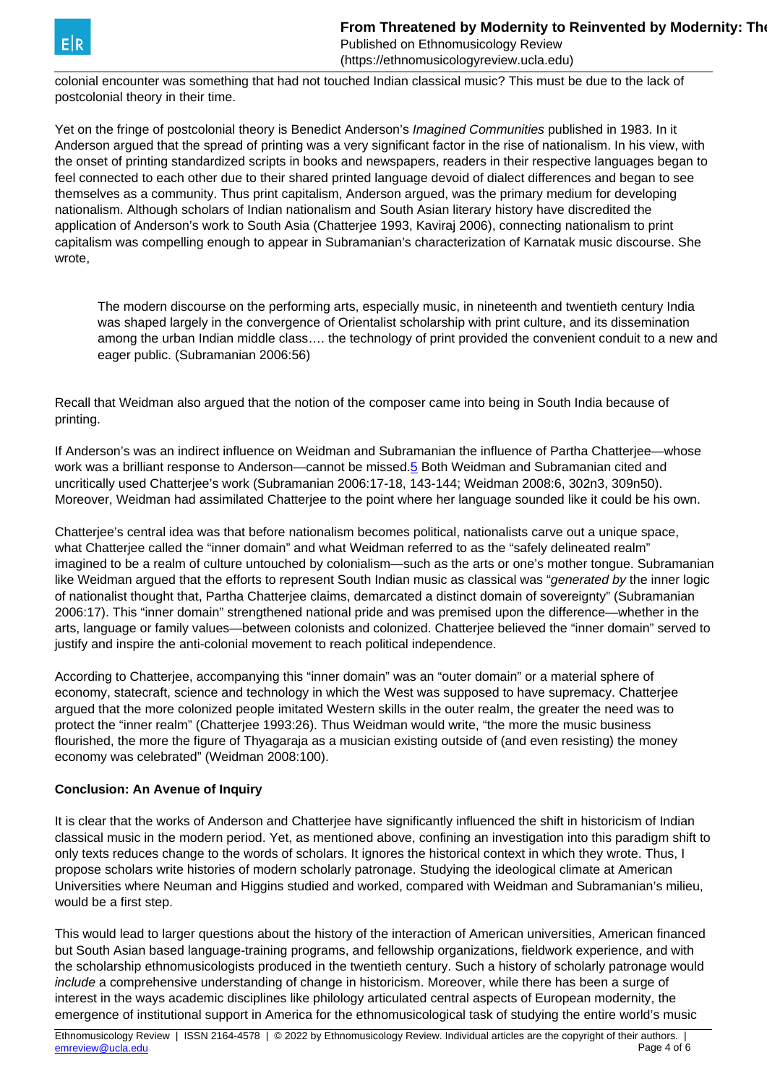Published on Ethnomusicology Review (https://ethnomusicologyreview.ucla.edu)

<span id="page-3-0"></span>colonial encounter was something that had not touched Indian classical music? This must be due to the lack of postcolonial theory in their time.

Yet on the fringe of postcolonial theory is Benedict Anderson's Imagined Communities published in 1983. In it Anderson argued that the spread of printing was a very significant factor in the rise of nationalism. In his view, with the onset of printing standardized scripts in books and newspapers, readers in their respective languages began to feel connected to each other due to their shared printed language devoid of dialect differences and began to see themselves as a community. Thus print capitalism, Anderson argued, was the primary medium for developing nationalism. Although scholars of Indian nationalism and South Asian literary history have discredited the application of Anderson's work to South Asia (Chatterjee 1993, Kaviraj 2006), connecting nationalism to print capitalism was compelling enough to appear in Subramanian's characterization of Karnatak music discourse. She wrote,

The modern discourse on the performing arts, especially music, in nineteenth and twentieth century India was shaped largely in the convergence of Orientalist scholarship with print culture, and its dissemination among the urban Indian middle class…. the technology of print provided the convenient conduit to a new and eager public. (Subramanian 2006:56)

Recall that Weidman also argued that the notion of the composer came into being in South India because of printing.

If Anderson's was an indirect influence on Weidman and Subramanian the influence of Partha Chatterjee—whose work was a brilliant response to Anderson—cannot be missed.[5](#page-3-0) Both Weidman and Subramanian cited and uncritically used Chatterjee's work (Subramanian 2006:17-18, 143-144; Weidman 2008:6, 302n3, 309n50). Moreover, Weidman had assimilated Chatterjee to the point where her language sounded like it could be his own.

Chatterjee's central idea was that before nationalism becomes political, nationalists carve out a unique space, what Chatterjee called the "inner domain" and what Weidman referred to as the "safely delineated realm" imagined to be a realm of culture untouched by colonialism—such as the arts or one's mother tongue. Subramanian like Weidman argued that the efforts to represent South Indian music as classical was "generated by the inner logic of nationalist thought that, Partha Chatterjee claims, demarcated a distinct domain of sovereignty" (Subramanian 2006:17). This "inner domain" strengthened national pride and was premised upon the difference—whether in the arts, language or family values—between colonists and colonized. Chatterjee believed the "inner domain" served to justify and inspire the anti-colonial movement to reach political independence.

According to Chatterjee, accompanying this "inner domain" was an "outer domain" or a material sphere of economy, statecraft, science and technology in which the West was supposed to have supremacy. Chatterjee argued that the more colonized people imitated Western skills in the outer realm, the greater the need was to protect the "inner realm" (Chatterjee 1993:26). Thus Weidman would write, "the more the music business flourished, the more the figure of Thyagaraja as a musician existing outside of (and even resisting) the money economy was celebrated" (Weidman 2008:100).

# **Conclusion: An Avenue of Inquiry**

It is clear that the works of Anderson and Chatterjee have significantly influenced the shift in historicism of Indian classical music in the modern period. Yet, as mentioned above, confining an investigation into this paradigm shift to only texts reduces change to the words of scholars. It ignores the historical context in which they wrote. Thus, I propose scholars write histories of modern scholarly patronage. Studying the ideological climate at American Universities where Neuman and Higgins studied and worked, compared with Weidman and Subramanian's milieu, would be a first step.

This would lead to larger questions about the history of the interaction of American universities, American financed but South Asian based language-training programs, and fellowship organizations, fieldwork experience, and with the scholarship ethnomusicologists produced in the twentieth century. Such a history of scholarly patronage would include a comprehensive understanding of change in historicism. Moreover, while there has been a surge of interest in the ways academic disciplines like philology articulated central aspects of European modernity, the emergence of institutional support in America for the ethnomusicological task of studying the entire world's music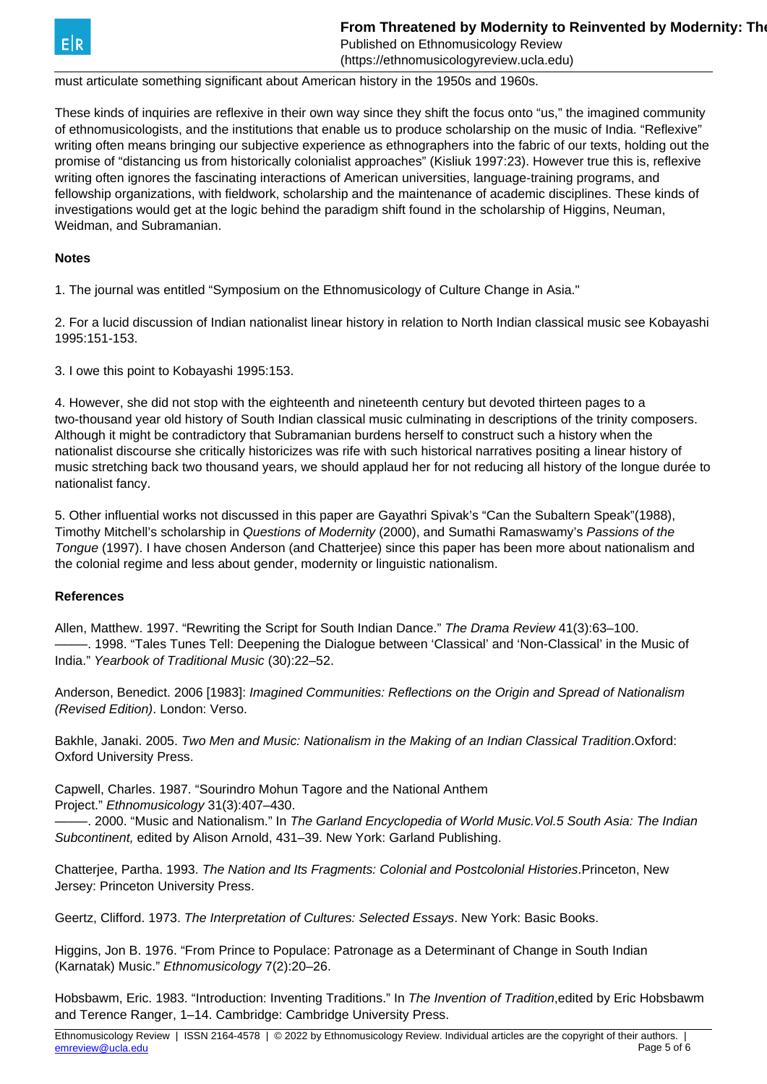Published on Ethnomusicology Review (https://ethnomusicologyreview.ucla.edu)

must articulate something significant about American history in the 1950s and 1960s.

These kinds of inquiries are reflexive in their own way since they shift the focus onto "us," the imagined community of ethnomusicologists, and the institutions that enable us to produce scholarship on the music of India. "Reflexive" writing often means bringing our subjective experience as ethnographers into the fabric of our texts, holding out the promise of "distancing us from historically colonialist approaches" (Kisliuk 1997:23). However true this is, reflexive writing often ignores the fascinating interactions of American universities, language-training programs, and fellowship organizations, with fieldwork, scholarship and the maintenance of academic disciplines. These kinds of investigations would get at the logic behind the paradigm shift found in the scholarship of Higgins, Neuman, Weidman, and Subramanian.

#### **Notes**

1. The journal was entitled "Symposium on the Ethnomusicology of Culture Change in Asia."

2. For a lucid discussion of Indian nationalist linear history in relation to North Indian classical music see Kobayashi 1995:151-153.

3. I owe this point to Kobayashi 1995:153.

4. However, she did not stop with the eighteenth and nineteenth century but devoted thirteen pages to a two-thousand year old history of South Indian classical music culminating in descriptions of the trinity composers. Although it might be contradictory that Subramanian burdens herself to construct such a history when the nationalist discourse she critically historicizes was rife with such historical narratives positing a linear history of music stretching back two thousand years, we should applaud her for not reducing all history of the longue durée to nationalist fancy.

5. Other influential works not discussed in this paper are Gayathri Spivak's "Can the Subaltern Speak"(1988), Timothy Mitchell's scholarship in Questions of Modernity (2000), and Sumathi Ramaswamy's Passions of the Tongue (1997). I have chosen Anderson (and Chatterjee) since this paper has been more about nationalism and the colonial regime and less about gender, modernity or linguistic nationalism.

#### **References**

Allen, Matthew. 1997. "Rewriting the Script for South Indian Dance." The Drama Review 41(3):63–100. -. 1998. "Tales Tunes Tell: Deepening the Dialogue between 'Classical' and 'Non-Classical' in the Music of India." Yearbook of Traditional Music (30):22–52.

Anderson, Benedict. 2006 [1983]: Imagined Communities: Reflections on the Origin and Spread of Nationalism (Revised Edition). London: Verso.

Bakhle, Janaki. 2005. Two Men and Music: Nationalism in the Making of an Indian Classical Tradition.Oxford: Oxford University Press.

Capwell, Charles. 1987. "Sourindro Mohun Tagore and the National Anthem Project." Ethnomusicology 31(3):407–430.

-. 2000. "Music and Nationalism." In The Garland Encyclopedia of World Music. Vol.5 South Asia: The Indian Subcontinent, edited by Alison Arnold, 431–39. New York: Garland Publishing.

Chatterjee, Partha. 1993. The Nation and Its Fragments: Colonial and Postcolonial Histories.Princeton, New Jersey: Princeton University Press.

Geertz, Clifford. 1973. The Interpretation of Cultures: Selected Essays. New York: Basic Books.

Higgins, Jon B. 1976. "From Prince to Populace: Patronage as a Determinant of Change in South Indian (Karnatak) Music." Ethnomusicology 7(2):20–26.

Hobsbawm, Eric. 1983. "Introduction: Inventing Traditions." In The Invention of Tradition, edited by Eric Hobsbawm and Terence Ranger, 1–14. Cambridge: Cambridge University Press.